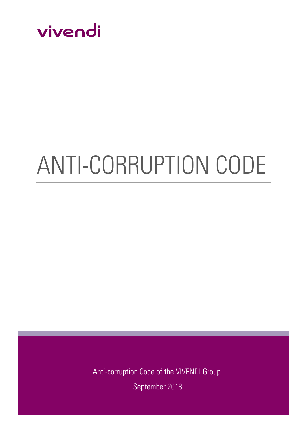

# ANTI-CORRUPTION CODE

Anti-corruption Code of the VIVENDI Group September 2018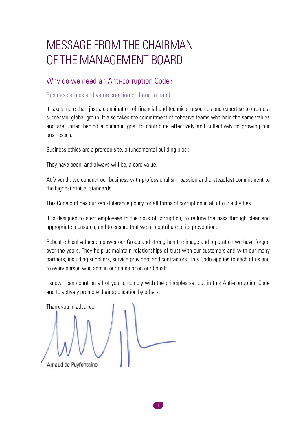## MESSAGE FROM THE CHAIRMAN OF THE MANAGEMENT BOARD

## Why do we need an Anti-corruption Code?

#### Business ethics and value creation go hand in hand

It takes more than just a combination of financial and technical resources and expertise to create a successful global group. It also takes the commitment of cohesive teams who hold the same values and are united behind a common goal to contribute effectively and collectively to growing our businesses.

Business ethics are a prerequisite, a fundamental building block.

They have been, and always will be, a core value.

At Vivendi, we conduct our business with professionalism, passion and a steadfast commitment to the highest ethical standards.

This Code outlines our zero-tolerance policy for all forms of corruption in all of our activities.

It is designed to alert employees to the risks of corruption, to reduce the risks through clear and appropriate measures, and to ensure that we all contribute to its prevention.

Robust ethical values empower our Group and strengthen the image and reputation we have forged over the years. They help us maintain relationships of trust with our customers and with our many partners, including suppliers, service providers and contractors. This Code applies to each of us and to every person who acts in our name or on our behalf.

I know I can count on all of you to comply with the principles set out in this Anti-corruption Code and to actively promote their application by others.

Thank you in advance.Arnaud de Puvfontaine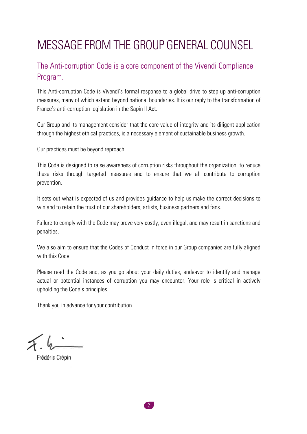# MESSAGE FROM THE GROUP GENERAL COUNSEL

## The Anti-corruption Code is a core component of the Vivendi Compliance Program.

This Anti-corruption Code is Vivendi's formal response to a global drive to step up anti-corruption measures, many of which extend beyond national boundaries. It is our reply to the transformation of France's anti-corruption legislation in the Sapin II Act.

Our Group and its management consider that the core value of integrity and its diligent application through the highest ethical practices, is a necessary element of sustainable business growth.

Our practices must be beyond reproach.

This Code is designed to raise awareness of corruption risks throughout the organization, to reduce these risks through targeted measures and to ensure that we all contribute to corruption prevention.

It sets out what is expected of us and provides guidance to help us make the correct decisions to win and to retain the trust of our shareholders, artists, business partners and fans.

Failure to comply with the Code may prove very costly, even illegal, and may result in sanctions and penalties.

We also aim to ensure that the Codes of Conduct in force in our Group companies are fully aligned with this Code.

Please read the Code and, as you go about your daily duties, endeavor to identify and manage actual or potential instances of corruption you may encounter. Your role is critical in actively upholding the Code's principles.

Thank you in advance for your contribution.

Frédéric Crépin

2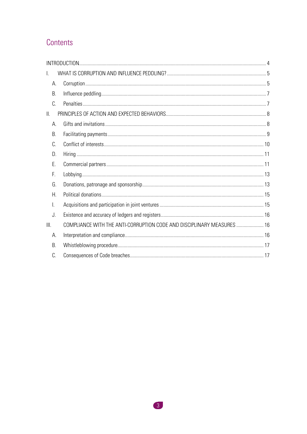## Contents

| $\mathsf{L}$   |                                                                        |  |
|----------------|------------------------------------------------------------------------|--|
| А.             |                                                                        |  |
| В.             |                                                                        |  |
| C.             |                                                                        |  |
| $\mathbb{I}$ . |                                                                        |  |
| А.             |                                                                        |  |
| В.             |                                                                        |  |
| C.             |                                                                        |  |
| D.             |                                                                        |  |
| F.             |                                                                        |  |
| F.             |                                                                        |  |
| G.             |                                                                        |  |
| Н.             |                                                                        |  |
| I.             |                                                                        |  |
| J.             |                                                                        |  |
| III.           | COMPLIANCE WITH THE ANTI-CORRUPTION CODE AND DISCIPLINARY MEASURES  16 |  |
| А.             |                                                                        |  |
| B.             |                                                                        |  |
| C.             |                                                                        |  |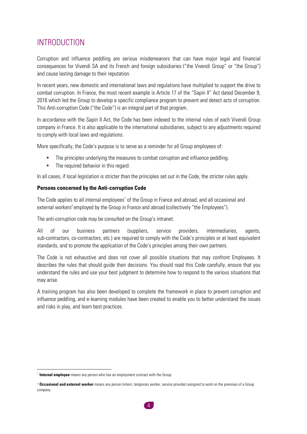## <span id="page-4-0"></span>INTRODUCTION

Corruption and influence peddling are serious misdemeanors that can have major legal and financial consequences for Vivendi SA and its French and foreign subsidiaries ("the Vivendi Group" or "the Group") and cause lasting damage to their reputation.

In recent years, new domestic and international laws and regulations have multiplied to support the drive to combat corruption. In France, the most recent example is Article 17 of the "Sapin II" Act dated December 9, 2016 which led the Group to develop a specific compliance program to prevent and detect acts of corruption. This Anti-corruption Code ("the Code") is an integral part of that program.

In accordance with the Sapin II Act, the Code has been indexed to the internal rules of each Vivendi Group company in France. It is also applicable to the international subsidiaries, subject to any adjustments required to comply with local laws and regulations.

More specifically, the Code's purpose is to serve as a reminder for all Group employees of:

- The principles underlying the measures to combat corruption and influence peddling.
- **•** The required behavior in this regard.

In all cases, if local legislation is stricter than the principles set out in the Code, the stricter rules apply.

#### **Persons concerned by the Anti-corruption Code**

The Code applies to all internal employees<sup>1</sup> of the Group in France and abroad, and all occasional and external workers<sup>2</sup> employed by the Group in France and abroad (collectively "the Employees").

The anti-corruption code may be consulted on the Group's intranet.

All of our business partners (suppliers, service providers, intermediaries, agents, sub-contractors, co-contractors, etc.) are required to comply with the Code's principles or at least equivalent standards, and to promote the application of the Code's principles among their own partners.

The Code is not exhaustive and does not cover all possible situations that may confront Employees. It describes the rules that should guide their decisions. You should read this Code carefully, ensure that you understand the rules and use your best judgment to determine how to respond to the various situations that may arise.

A training program has also been developed to complete the framework in place to prevent corruption and influence peddling, and e-learning modules have been created to enable you to better understand the issues and risks in play, and learn best practices.

<u>.</u>

<sup>&</sup>lt;sup>1</sup> Internal employee means any person who has an employment contract with the Group.

<sup>2</sup> **Occasional and external worker** means any person (intern, temporary worker, service provider) assigned to work on the premises of a Group company.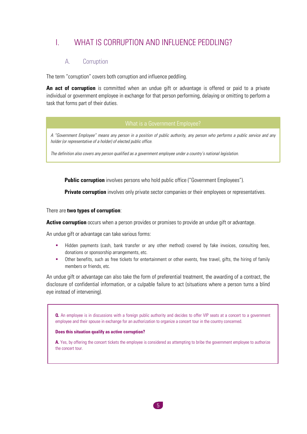## <span id="page-5-0"></span>I. WHAT IS CORRUPTION AND INFLUENCE PEDDLING?

#### A. Corruption

<span id="page-5-1"></span>The term "corruption" covers both corruption and influence peddling.

**An act of corruption** is committed when an undue gift or advantage is offered or paid to a private individual or government employee in exchange for that person performing, delaying or omitting to perform a task that forms part of their duties.

*A "Government Employee" means any person in a position of public authority, any person who performs a public service and any holder (or representative of a holder) of elected public office.*

*The definition also covers any person qualified as a government employee under a country's national legislation.*

**Public corruption** involves persons who hold public office ("Government Employees").

**Private corruption** involves only private sector companies or their employees or representatives.

There are **two types of corruption**:

**Active corruption** occurs when a person provides or promises to provide an undue gift or advantage.

An undue gift or advantage can take various forms:

- Hidden payments (cash, bank transfer or any other method) covered by fake invoices, consulting fees, donations or sponsorship arrangements, etc.
- Other benefits, such as free tickets for entertainment or other events, free travel, gifts, the hiring of family members or friends, etc.

An undue gift or advantage can also take the form of preferential treatment, the awarding of a contract, the disclosure of confidential information, or a culpable failure to act (situations where a person turns a blind eye instead of intervening).

**Q.** An employee is in discussions with a foreign public authority and decides to offer VIP seats at a concert to a government employee and their spouse in exchange for an authorization to organize a concert tour in the country concerned.

#### **Does this situation qualify as active corruption?**

**A.** Yes, by offering the concert tickets the employee is considered as attempting to bribe the government employee to authorize the concert tour.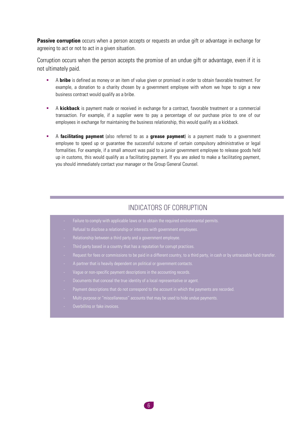**Passive corruption** occurs when a person accepts or requests an undue gift or advantage in exchange for agreeing to act or not to act in a given situation.

Corruption occurs when the person accepts the promise of an undue gift or advantage, even if it is not ultimately paid.

- A **bribe** is defined as money or an item of value given or promised in order to obtain favorable treatment. For example, a donation to a charity chosen by a government employee with whom we hope to sign a new business contract would qualify as a bribe.
- **EXECT** A **kickback** is payment made or received in exchange for a contract, favorable treatment or a commercial transaction. For example, if a supplier were to pay a percentage of our purchase price to one of our employees in exchange for maintaining the business relationship, this would qualify as a kickback.
- A **facilitating payment** (also referred to as a **grease payment**) is a payment made to a government employee to speed up or guarantee the successful outcome of certain compulsory administrative or legal formalities. For example, if a small amount was paid to a junior government employee to release goods held up in customs, this would qualify as a facilitating payment. If you are asked to make a facilitating payment, you should immediately contact your manager or the Group General Counsel.

#### INDICATORS OF CORRUPTION

- Failure to comply with applicable laws or to obtain the required environmental permits.
- 
- 
- 
- 
- 
- 
- 
- 
- 
-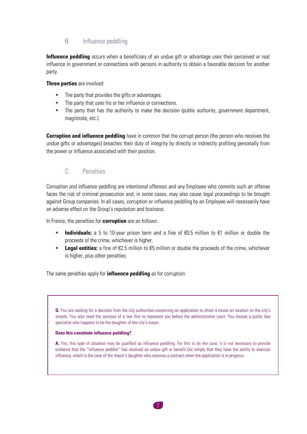#### B. Influence peddling

<span id="page-7-0"></span>**Influence peddling** occurs when a beneficiary of an undue gift or advantage uses their perceived or real influence in government or connections with persons in authority to obtain a favorable decision for another party.

**Three parties** are involved:

- The party that provides the gifts or advantages.
- The party that uses his or her influence or connections.
- The party that has the authority to make the decision (public authority, government department, magistrate, etc.).

**Corruption and influence peddling** have in common that the corrupt person (the person who receives the undue gifts or advantages) breaches their duty of integrity by directly or indirectly profiting personally from the power or influence associated with their position.

#### C. Penalties

<span id="page-7-1"></span>Corruption and influence peddling are intentional offenses and any Employee who commits such an offense faces the risk of criminal prosecution and, in some cases, may also cause legal proceedings to be brought against Group companies. In all cases, corruption or influence peddling by an Employee will necessarily have an adverse effect on the Group's reputation and business.

In France, the penalties for **corruption** are as follows:

- **Individuals:** a 5 to 10-year prison term and a fine of €0.5 million to €1 million or double the proceeds of the crime, whichever is higher.
- Legal entities: a fine of €2.5 million to €5 million or double the proceeds of the crime, whichever is higher, plus other penalties.

The same penalties apply for **influence peddling** as for corruption.

**Q.** You are waiting for a decision from the city authorities concerning an application to shoot a movie on location on the city's streets. You also need the services of a law firm to represent you before the administrative court. You choose a public law specialist who happens to be the daughter of the city's mayor.

#### **Does this constitute influence peddling?**

**A.** Yes, this type of situation may be qualified as influence peddling. For this to be the case, it is not necessary to provide evidence that the "influence peddler" has received an undue gift or benefit but simply that they have the ability to exercise influence, which is the case of the mayor's daughter who receives a contract when the application is in progress.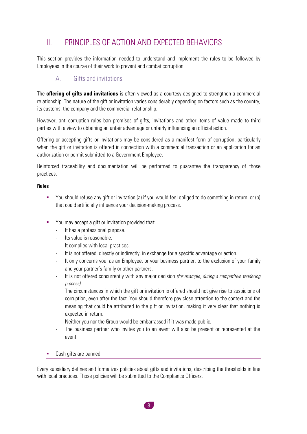## <span id="page-8-0"></span>II. PRINCIPLES OF ACTION AND EXPECTED BEHAVIORS

This section provides the information needed to understand and implement the rules to be followed by Employees in the course of their work to prevent and combat corruption.

## A. Gifts and invitations

<span id="page-8-1"></span>The **offering of gifts and invitations** is often viewed as a courtesy designed to strengthen a commercial relationship. The nature of the gift or invitation varies considerably depending on factors such as the country, its customs, the company and the commercial relationship.

However, anti-corruption rules ban promises of gifts, invitations and other items of value made to third parties with a view to obtaining an unfair advantage or unfairly influencing an official action.

Offering or accepting gifts or invitations may be considered as a manifest form of corruption, particularly when the gift or invitation is offered in connection with a commercial transaction or an application for an authorization or permit submitted to a Government Employee.

Reinforced traceability and documentation will be performed to guarantee the transparency of those practices.

#### **Rules**

- You should refuse any gift or invitation (a) if you would feel obliged to do something in return, or (b) that could artificially influence your decision-making process.
- You may accept a gift or invitation provided that:
	- It has a professional purpose.
	- Its value is reasonable.
	- It complies with local practices.
	- It is not offered, directly or indirectly, in exchange for a specific advantage or action.
	- It only concerns you, as an Employee, or your business partner, to the exclusion of your family and your partner's family or other partners.
	- It is not offered concurrently with any major decision *(for example, during a competitive tendering process).*

The circumstances in which the gift or invitation is offered should not give rise to suspicions of corruption, even after the fact. You should therefore pay close attention to the context and the meaning that could be attributed to the gift or invitation, making it very clear that nothing is expected in return.

- Neither you nor the Group would be embarrassed if it was made public.
- The business partner who invites you to an event will also be present or represented at the event.
- Cash gifts are banned.

Every subsidiary defines and formalizes policies about gifts and invitations, describing the thresholds in line with local practices. Those policies will be submitted to the Compliance Officers.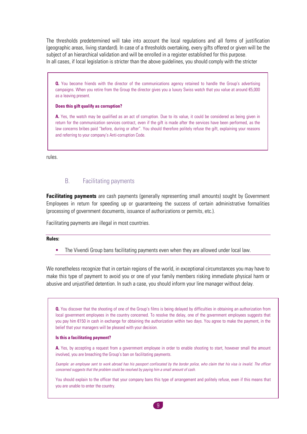The thresholds predetermined will take into account the local regulations and all forms of justification (geographic areas, living standard). In case of a thresholds overtaking, every gifts offered or given will be the subject of an hierarchical validation and will be enrolled in a register established for this purpose. In all cases, if local legislation is stricter than the above guidelines, you should comply with the stricter

**Q.** You become friends with the director of the communications agency retained to handle the Group's advertising campaigns. When you retire from the Group the director gives you a luxury Swiss watch that you value at around  $E$ 5,000 as a leaving present.

#### **Does this gift qualify as corruption?**

**A.** Yes, the watch may be qualified as an act of corruption. Due to its value, it could be considered as being given in return for the communication services contract, even if the gift is made after the services have been performed, as the law concerns bribes paid "before, during or after". You should therefore politely refuse the gift, explaining your reasons and referring to your company's Anti-corruption Code.

rules.

#### B. Facilitating payments

<span id="page-9-0"></span>**Facilitating payments** are cash payments (generally representing small amounts) sought by Government Employees in return for speeding up or guaranteeing the success of certain administrative formalities (processing of government documents, issuance of authorizations or permits, etc.).

Facilitating payments are illegal in most countries.

#### **Rules:**

The Vivendi Group bans facilitating payments even when they are allowed under local law.

We nonetheless recognize that in certain regions of the world, in exceptional circumstances you may have to make this type of payment to avoid you or one of your family members risking immediate physical harm or abusive and unjustified detention. In such a case, you should inform your line manager without delay.

**Q.** You discover that the shooting of one of the Group's films is being delayed by difficulties in obtaining an authorization from local government employees in the country concerned. To resolve the delay, one of the government employees suggests that you pay him €150 in cash in exchange for obtaining the authorization within two days. You agree to make the payment, in the belief that your managers will be pleased with your decision.

#### **Is this a facilitating payment?**

A. Yes, by accepting a request from a government employee in order to enable shooting to start, however small the amount involved, you are breaching the Group's ban on facilitating payments.

*Example: an employee sent to work abroad has his passport confiscated by the border police, who claim that his visa is invalid. The officer concerned suggests that the problem could be resolved by paying him a small amount of cash.*

You should explain to the officer that your company bans this type of arrangement and politely refuse, even if this means that you are unable to enter the country.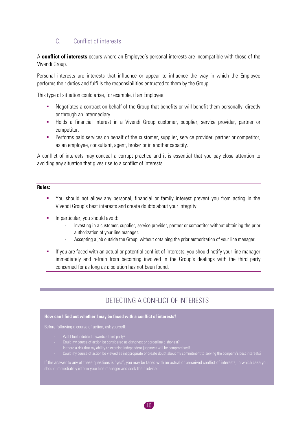#### C. Conflict of interests

<span id="page-10-0"></span>A **conflict of interests** occurs where an Employee's personal interests are incompatible with those of the Vivendi Group.

Personal interests are interests that influence or appear to influence the way in which the Employee performs their duties and fulfills the responsibilities entrusted to them by the Group.

This type of situation could arise, for example, if an Employee:

- Negotiates a contract on behalf of the Group that benefits or will benefit them personally, directly or through an intermediary.
- Holds a financial interest in a Vivendi Group customer, supplier, service provider, partner or competitor.
- Performs paid services on behalf of the customer, supplier, service provider, partner or competitor, as an employee, consultant, agent, broker or in another capacity.

A conflict of interests may conceal a corrupt practice and it is essential that you pay close attention to avoiding any situation that gives rise to a conflict of interests.

#### **Rules:**

- You should not allow any personal, financial or family interest prevent you from acting in the Vivendi Group's best interests and create doubts about your integrity.
- **■** In particular, you should avoid:
	- Investing in a customer, supplier, service provider, partner or competitor without obtaining the prior authorization of your line manager.
	- Accepting a job outside the Group, without obtaining the prior authorization of your line manager.
- **■** If you are faced with an actual or potential conflict of interests, you should notify your line manager immediately and refrain from becoming involved in the Group's dealings with the third party concerned for as long as a solution has not been found.

## DETECTING A CONFLICT OF INTERESTS

#### **How can I find out whether I may be faced with a conflict of interests?**

- 
- 
- Is there a risk that my ability to exercise independent judgment will be compromised?
- 

should immediately inform your line manager and seek their advice.

 $10<sub>1</sub>$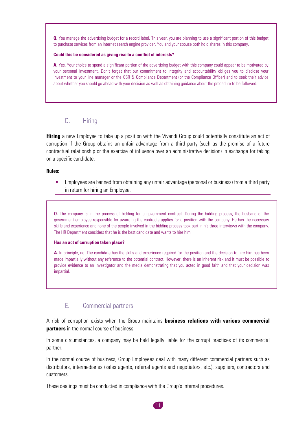**Q.** You manage the advertising budget for a record label. This year, you are planning to use a significant portion of this budget to purchase services from an Internet search engine provider. You and your spouse both hold shares in this company.

#### **Could this be considered as giving rise to a conflict of interests?**

**A.** Yes. Your choice to spend a significant portion of the advertising budget with this company could appear to be motivated by your personal investment. Don't forget that our commitment to integrity and accountability obliges you to disclose your investment to your line manager or the CSR & Compliance Department (or the Compliance Officer) and to seek their advice about whether you should go ahead with your decision as well as obtaining guidance about the procedure to be followed.

#### D. Hiring

<span id="page-11-0"></span>**Hiring** a new Employee to take up a position with the Vivendi Group could potentially constitute an act of corruption if the Group obtains an unfair advantage from a third party (such as the promise of a future contractual relationship or the exercise of influence over an administrative decision) in exchange for taking on a specific candidate.

**Rules:**

Employees are banned from obtaining any unfair advantage (personal or business) from a third party in return for hiring an Employee.

**Q.** The company is in the process of bidding for a government contract. During the bidding process, the husband of the government employee responsible for awarding the contracts applies for a position with the company. He has the necessary skills and experience and none of the people involved in the bidding process took part in his three interviews with the company. The HR Department considers that he is the best candidate and wants to hire him.

#### **Has an act of corruption taken place?**

**A.** In principle, no. The candidate has the skills and experience required for the position and the decision to hire him has been made impartially without any reference to the potential contract. However, there is an inherent risk and it must be possible to provide evidence to an investigator and the media demonstrating that you acted in good faith and that your decision was impartial.

#### E. Commercial partners

<span id="page-11-1"></span>A risk of corruption exists when the Group maintains **business relations with various commercial partners** in the normal course of business.

In some circumstances, a company may be held legally liable for the corrupt practices of its commercial partner.

In the normal course of business, Group Employees deal with many different commercial partners such as distributors, intermediaries (sales agents, referral agents and negotiators, etc.), suppliers, contractors and customers.

These dealings must be conducted in compliance with the Group's internal procedures.

11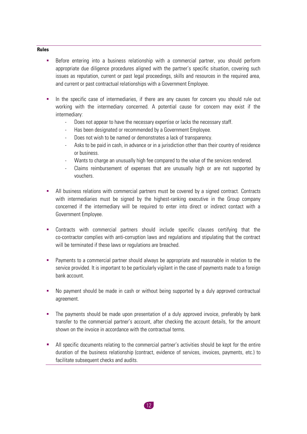#### **Rules**

- Before entering into a business relationship with a commercial partner, you should perform appropriate due diligence procedures aligned with the partner's specific situation, covering such issues as reputation, current or past legal proceedings, skills and resources in the required area, and current or past contractual relationships with a Government Employee.
- **.** In the specific case of intermediaries, if there are any causes for concern you should rule out working with the intermediary concerned. A potential cause for concern may exist if the intermediary:
	- Does not appear to have the necessary expertise or lacks the necessary staff.
	- Has been designated or recommended by a Government Employee.
	- Does not wish to be named or demonstrates a lack of transparency.
	- Asks to be paid in cash, in advance or in a jurisdiction other than their country of residence or business.
	- Wants to charge an unusually high fee compared to the value of the services rendered.
	- Claims reimbursement of expenses that are unusually high or are not supported by vouchers.
- All business relations with commercial partners must be covered by a signed contract. Contracts with intermediaries must be signed by the highest-ranking executive in the Group company concerned if the intermediary will be required to enter into direct or indirect contact with a Government Employee.
- Contracts with commercial partners should include specific clauses certifying that the co-contractor complies with anti-corruption laws and regulations and stipulating that the contract will be terminated if these laws or regulations are breached.
- **•** Payments to a commercial partner should always be appropriate and reasonable in relation to the service provided. It is important to be particularly vigilant in the case of payments made to a foreign bank account.
- No payment should be made in cash or without being supported by a duly approved contractual agreement.
- The payments should be made upon presentation of a duly approved invoice, preferably by bank transfer to the commercial partner's account, after checking the account details, for the amount shown on the invoice in accordance with the contractual terms.
- All specific documents relating to the commercial partner's activities should be kept for the entire duration of the business relationship (contract, evidence of services, invoices, payments, etc.) to facilitate subsequent checks and audits.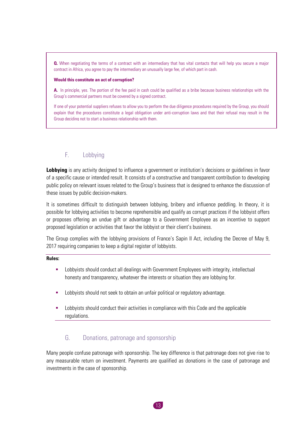**Q.** When negotiating the terms of a contract with an intermediary that has vital contacts that will help you secure a major contract in Africa, you agree to pay the intermediary an unusually large fee, of which part in cash.

#### **Would this constitute an act of corruption?**

**A.** In principle, yes. The portion of the fee paid in cash could be qualified as a bribe because business relationships with the Group's commercial partners must be covered by a signed contract.

If one of your potential suppliers refuses to allow you to perform the due diligence procedures required by the Group, you should explain that the procedures constitute a legal obligation under anti-corruption laws and that their refusal may result in the Group deciding not to start a business relationship with them.

#### <span id="page-13-0"></span>F. Lobbying

**Lobbying** is any activity designed to influence a government or institution's decisions or guidelines in favor of a specific cause or intended result. It consists of a constructive and transparent contribution to developing public policy on relevant issues related to the Group's business that is designed to enhance the discussion of these issues by public decision-makers.

It is sometimes difficult to distinguish between lobbying, bribery and influence peddling. In theory, it is possible for lobbying activities to become reprehensible and qualify as corrupt practices if the lobbyist offers or proposes offering an undue gift or advantage to a Government Employee as an incentive to support proposed legislation or activities that favor the lobbyist or their client's business.

The Group complies with the lobbying provisions of France's Sapin II Act, including the Decree of May 9, 2017 requiring companies to keep a digital register of lobbyists.

#### **Rules:**

- Lobbyists should conduct all dealings with Government Employees with integrity, intellectual honesty and transparency, whatever the interests or situation they are lobbying for.
- Lobbyists should not seek to obtain an unfair political or regulatory advantage.
- Lobbyists should conduct their activities in compliance with this Code and the applicable regulations.

#### G. Donations, patronage and sponsorship

<span id="page-13-1"></span>Many people confuse patronage with sponsorship. The key difference is that patronage does not give rise to any measurable return on investment. Payments are qualified as donations in the case of patronage and investments in the case of sponsorship.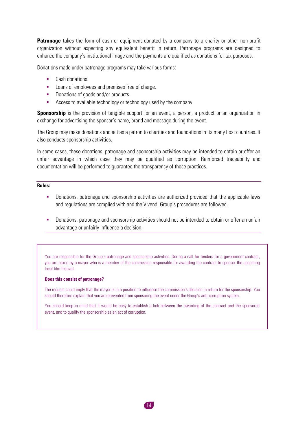**Patronage** takes the form of cash or equipment donated by a company to a charity or other non-profit organization without expecting any equivalent benefit in return. Patronage programs are designed to enhance the company's institutional image and the payments are qualified as donations for tax purposes.

Donations made under patronage programs may take various forms:

- Cash donations.
- **EXECUTE:** Loans of employees and premises free of charge.
- Donations of goods and/or products.
- **EXEC** Access to available technology or technology used by the company.

**Sponsorship** is the provision of tangible support for an event, a person, a product or an organization in exchange for advertising the sponsor's name, brand and message during the event.

The Group may make donations and act as a patron to charities and foundations in its many host countries. It also conducts sponsorship activities.

In some cases, these donations, patronage and sponsorship activities may be intended to obtain or offer an unfair advantage in which case they may be qualified as corruption. Reinforced traceability and documentation will be performed to guarantee the transparency of those practices.

#### **Rules:**

- Donations, patronage and sponsorship activities are authorized provided that the applicable laws and regulations are complied with and the Vivendi Group's procedures are followed.
- **•** Donations, patronage and sponsorship activities should not be intended to obtain or offer an unfair advantage or unfairly influence a decision.

You are responsible for the Group's patronage and sponsorship activities. During a call for tenders for a government contract, you are asked by a mayor who is a member of the commission responsible for awarding the contract to sponsor the upcoming local film festival.

#### **Does this consist of patronage?**

The request could imply that the mayor is in a position to influence the commission's decision in return for the sponsorship. You should therefore explain that you are prevented from sponsoring the event under the Group's anti-corruption system.

You should keep in mind that it would be easy to establish a link between the awarding of the contract and the sponsored event, and to qualify the sponsorship as an act of corruption.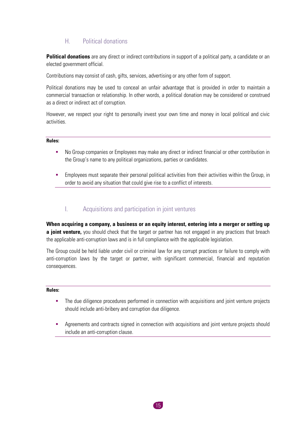#### H. Political donations

<span id="page-15-0"></span>**Political donations** are any direct or indirect contributions in support of a political party, a candidate or an elected government official.

Contributions may consist of cash, gifts, services, advertising or any other form of support.

Political donations may be used to conceal an unfair advantage that is provided in order to maintain a commercial transaction or relationship. In other words, a political donation may be considered or construed as a direct or indirect act of corruption.

However, we respect your right to personally invest your own time and money in local political and civic activities.

#### **Rules:**

- No Group companies or Employees may make any direct or indirect financial or other contribution in the Group's name to any political organizations, parties or candidates.
- **•** Employees must separate their personal political activities from their activities within the Group, in order to avoid any situation that could give rise to a conflict of interests.

#### I. Acquisitions and participation in joint ventures

<span id="page-15-1"></span>**When acquiring a company, a business or an equity interest, entering into a merger or setting up a joint venture,** you should check that the target or partner has not engaged in any practices that breach the applicable anti-corruption laws and is in full compliance with the applicable legislation.

The Group could be held liable under civil or criminal law for any corrupt practices or failure to comply with anti-corruption laws by the target or partner, with significant commercial, financial and reputation consequences.

#### **Rules:**

- **·** The due diligence procedures performed in connection with acquisitions and joint venture projects should include anti-bribery and corruption due diligence.
- Agreements and contracts signed in connection with acquisitions and joint venture projects should include an anti-corruption clause.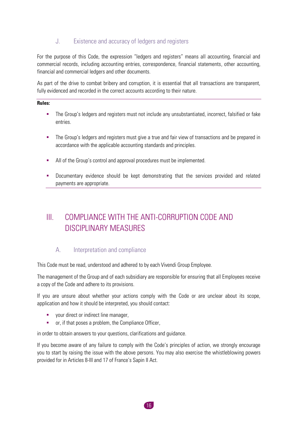#### J. Existence and accuracy of ledgers and registers

<span id="page-16-0"></span>For the purpose of this Code, the expression "ledgers and registers" means all accounting, financial and commercial records, including accounting entries, correspondence, financial statements, other accounting, financial and commercial ledgers and other documents.

As part of the drive to combat bribery and corruption, it is essential that all transactions are transparent, fully evidenced and recorded in the correct accounts according to their nature.

#### **Rules:**

- **•** The Group's ledgers and registers must not include any unsubstantiated, incorrect, falsified or fake entries.
- **•** The Group's ledgers and registers must give a true and fair view of transactions and be prepared in accordance with the applicable accounting standards and principles.
- All of the Group's control and approval procedures must be implemented.
- **•** Documentary evidence should be kept demonstrating that the services provided and related payments are appropriate.

## <span id="page-16-1"></span>III. COMPLIANCE WITH THE ANTI-CORRUPTION CODE AND DISCIPLINARY MEASURES

## A. Interpretation and compliance

<span id="page-16-2"></span>This Code must be read, understood and adhered to by each Vivendi Group Employee.

The management of the Group and of each subsidiary are responsible for ensuring that all Employees receive a copy of the Code and adhere to its provisions.

If you are unsure about whether your actions comply with the Code or are unclear about its scope, application and how it should be interpreted, you should contact:

- **•** vour direct or indirect line manager.
- or, if that poses a problem, the Compliance Officer,

in order to obtain answers to your questions, clarifications and guidance.

If you become aware of any failure to comply with the Code's principles of action, we strongly encourage you to start by raising the issue with the above persons. You may also exercise the whistleblowing powers provided for in Articles 8-III and 17 of France's Sapin II Act.